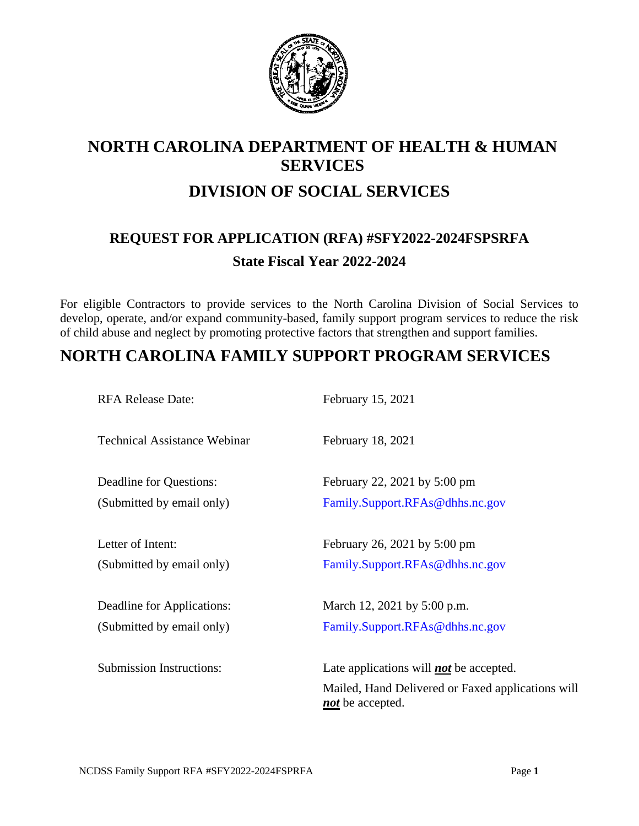

# **NORTH CAROLINA DEPARTMENT OF HEALTH & HUMAN SERVICES DIVISION OF SOCIAL SERVICES**

# **REQUEST FOR APPLICATION (RFA) #SFY2022-2024FSPSRFA State Fiscal Year 2022-2024**

For eligible Contractors to provide services to the North Carolina Division of Social Services to develop, operate, and/or expand community-based, family support program services to reduce the risk of child abuse and neglect by promoting protective factors that strengthen and support families.

# **NORTH CAROLINA FAMILY SUPPORT PROGRAM SERVICES**

RFA Release Date: February 15, 2021 Technical Assistance Webinar February 18, 2021 Deadline for Questions: February 22, 2021 by 5:00 pm (Submitted by email only) [Family.Support.RFAs@dhhs.nc.gov](mailto:Family.Support.RFAs@dhhs.nc.gov) Letter of Intent: February 26, 2021 by 5:00 pm (Submitted by email only) [Family.Support.RFAs@dhhs.nc.gov](mailto:Family.Support.RFAs@dhhs.nc.gov) Deadline for Applications: March 12, 2021 by 5:00 p.m. (Submitted by email only) [Family.Support.RFAs@dhhs.nc.gov](mailto:Family.Support.RFAs@dhhs.nc.gov) Submission Instructions: Late applications will **not** be accepted. Mailed, Hand Delivered or Faxed applications will *not* be accepted.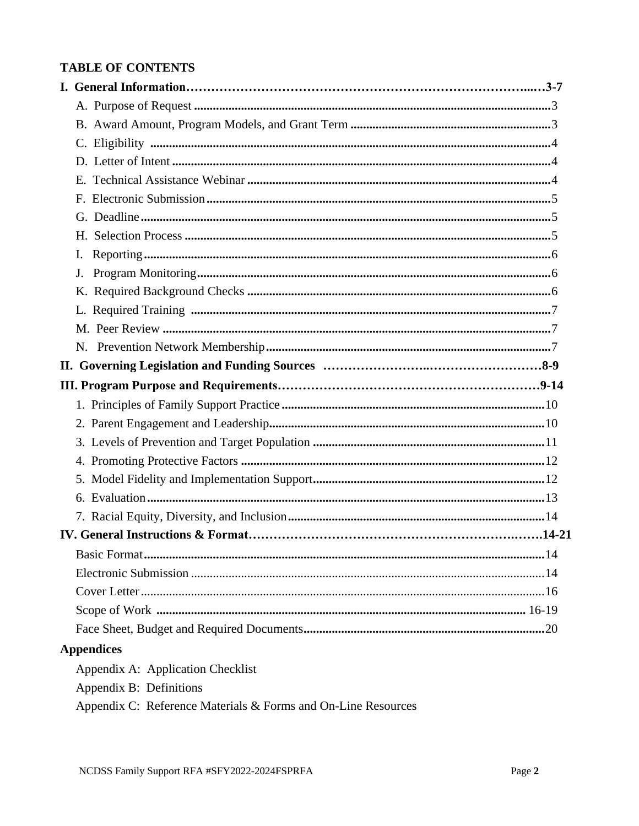# **TABLE OF CONTENTS**

| Ι. |                                   |
|----|-----------------------------------|
| J. |                                   |
|    |                                   |
|    |                                   |
|    |                                   |
|    |                                   |
|    |                                   |
|    |                                   |
|    |                                   |
|    |                                   |
|    |                                   |
|    |                                   |
|    |                                   |
|    |                                   |
|    |                                   |
|    |                                   |
|    |                                   |
|    |                                   |
|    |                                   |
|    |                                   |
|    |                                   |
|    | <b>Appendices</b>                 |
|    | Appendix A: Application Checklist |
|    | Appendix B: Definitions           |

Appendix C: Reference Materials & Forms and On-Line Resources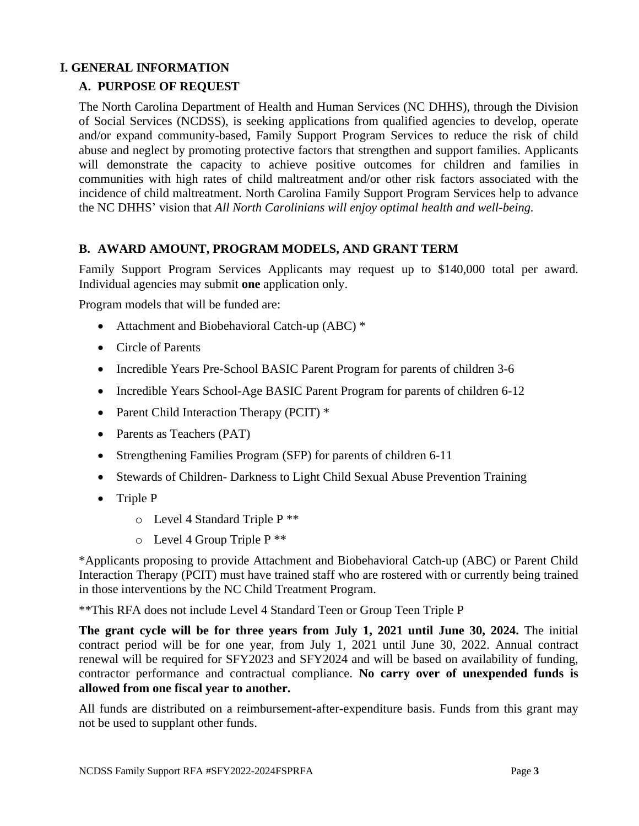### **I. GENERAL INFORMATION**

## **A. PURPOSE OF REQUEST**

The North Carolina Department of Health and Human Services (NC DHHS), through the Division of Social Services (NCDSS), is seeking applications from qualified agencies to develop, operate and/or expand community-based, Family Support Program Services to reduce the risk of child abuse and neglect by promoting protective factors that strengthen and support families. Applicants will demonstrate the capacity to achieve positive outcomes for children and families in communities with high rates of child maltreatment and/or other risk factors associated with the incidence of child maltreatment. North Carolina Family Support Program Services help to advance the NC DHHS' vision that *All North Carolinians will enjoy optimal health and well-being.*

#### **B. AWARD AMOUNT, PROGRAM MODELS, AND GRANT TERM**

Family Support Program Services Applicants may request up to \$140,000 total per award. Individual agencies may submit **one** application only.

Program models that will be funded are:

- Attachment and Biobehavioral Catch-up (ABC) \*
- Circle of Parents
- Incredible Years Pre-School BASIC Parent Program for parents of children 3-6
- Incredible Years School-Age BASIC Parent Program for parents of children 6-12
- Parent Child Interaction Therapy (PCIT)  $*$
- Parents as Teachers (PAT)
- Strengthening Families Program (SFP) for parents of children 6-11
- Stewards of Children- Darkness to Light Child Sexual Abuse Prevention Training
- Triple P
	- o Level 4 Standard Triple P \*\*
	- $\circ$  Level 4 Group Triple P \*\*

\*Applicants proposing to provide Attachment and Biobehavioral Catch-up (ABC) or Parent Child Interaction Therapy (PCIT) must have trained staff who are rostered with or currently being trained in those interventions by the NC Child Treatment Program.

\*\*This RFA does not include Level 4 Standard Teen or Group Teen Triple P

**The grant cycle will be for three years from July 1, 2021 until June 30, 2024.** The initial contract period will be for one year, from July 1, 2021 until June 30, 2022. Annual contract renewal will be required for SFY2023 and SFY2024 and will be based on availability of funding, contractor performance and contractual compliance. **No carry over of unexpended funds is allowed from one fiscal year to another.** 

All funds are distributed on a reimbursement-after-expenditure basis. Funds from this grant may not be used to supplant other funds.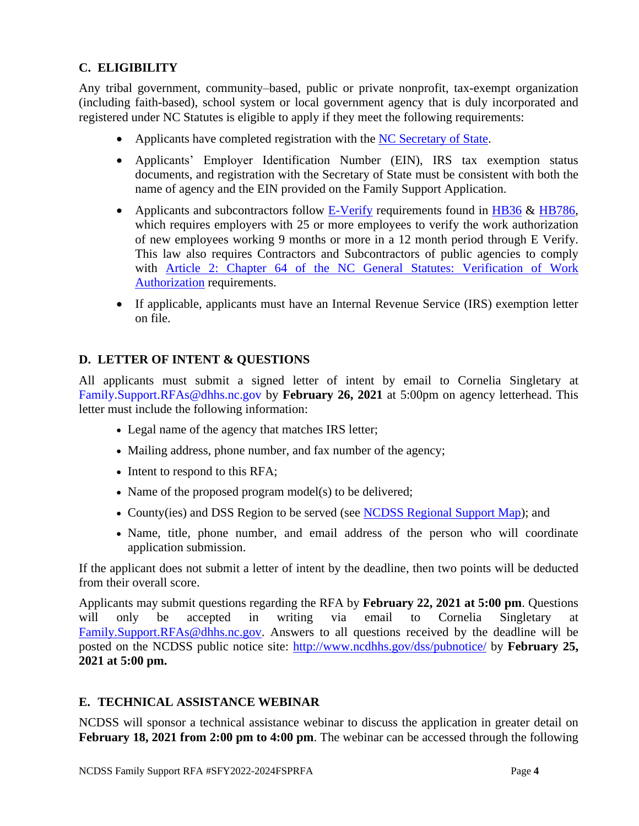## **C. ELIGIBILITY**

Any tribal government, community–based, public or private nonprofit, tax-exempt organization (including faith-based), school system or local government agency that is duly incorporated and registered under NC Statutes is eligible to apply if they meet the following requirements:

- Applicants have completed registration with the [NC Secretary of State.](https://www.sosnc.gov/Guides/launching_a_business)
- Applicants' Employer Identification Number (EIN), IRS tax exemption status documents, and registration with the Secretary of State must be consistent with both the name of agency and the EIN provided on the Family Support Application.
- Applicants and subcontractors follow [E-Verify](https://www.e-verify.gov/) requirements found in [HB36](https://www.ncleg.net/Sessions/2011/Bills/House/PDF/H36v8.pdf) & [HB786,](https://www.ncleg.net/Sessions/2013/Bills/House/HTML/H786v6.html) which requires employers with 25 or more employees to verify the work authorization of new employees working 9 months or more in a 12 month period through E Verify. This law also requires Contractors and Subcontractors of public agencies to comply with [Article 2: Chapter 64 of the NC General Statutes:](http://www.ncleg.net/EnactedLegislation/Statutes/HTML/ByArticle/Chapter_64/Article_2.html) Verification of Work [Authorization](http://www.ncleg.net/EnactedLegislation/Statutes/HTML/ByArticle/Chapter_64/Article_2.html) requirements.
- If applicable, applicants must have an Internal Revenue Service (IRS) exemption letter on file.

## **D. LETTER OF INTENT & QUESTIONS**

All applicants must submit a signed letter of intent by email to Cornelia Singletary at [Family.Support.RFAs@dhhs.nc.gov](mailto:Family.Support.RFAs@dhhs.nc.gov) by **February 26, 2021** at 5:00pm on agency letterhead. This letter must include the following information:

- Legal name of the agency that matches IRS letter;
- Mailing address, phone number, and fax number of the agency;
- Intent to respond to this RFA;
- Name of the proposed program model(s) to be delivered;
- County(ies) and DSS Region to be served (see NCDSS [Regional Support Map\)](https://files.nc.gov/ncdhhs/documents/files/dss/publicnotices/2022-2024-family-support/NCDSS-Regional-Support-Map--Draft-.xlsx); and
- Name, title, phone number, and email address of the person who will coordinate application submission.

If the applicant does not submit a letter of intent by the deadline, then two points will be deducted from their overall score.

Applicants may submit questions regarding the RFA by **February 22, 2021 at 5:00 pm**. Questions will only be accepted in writing via email to Cornelia Singletary at [Family.Support.RFAs@dhhs.nc.gov.](mailto:Family.Support.RFAs@dhhs.nc.gov) Answers to all questions received by the deadline will be posted on the NCDSS public notice site: <http://www.ncdhhs.gov/dss/pubnotice/> by **February 25, 2021 at 5:00 pm.**

## **E. TECHNICAL ASSISTANCE WEBINAR**

NCDSS will sponsor a technical assistance webinar to discuss the application in greater detail on **February 18, 2021 from 2:00 pm to 4:00 pm**. The webinar can be accessed through the following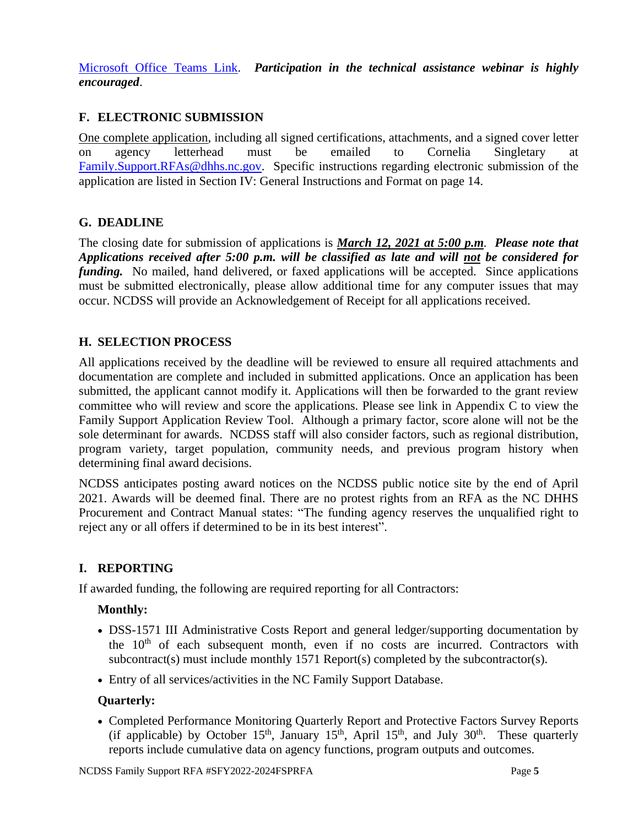[Microsoft Office Teams](https://teams.microsoft.com/l/meetup-join/19%3ameeting_YWY1YTM5NjYtM2M2OS00MGYxLWJjMDItMzQxYzM1YmNiNTY2%40thread.v2/0?context=%7b%22Tid%22%3a%227a7681dc-b9d0-449a-85c3-ecc26cd7ed19%22%2c%22Oid%22%3a%22a10a7efc-54c8-4b53-b542-b6f062453e41%22%7d) Link. *Participation in the technical assistance webinar is highly encouraged*.

## **F. ELECTRONIC SUBMISSION**

One complete application, including all signed certifications, attachments, and a signed cover letter on agency letterhead must be emailed to Cornelia Singletary at [Family.Support.RFAs@dhhs.nc.gov.](mailto:Family.Support.RFAs@dhhs.nc.gov) Specific instructions regarding electronic submission of the application are listed in Section IV: General Instructions and Format on page 14.

## **G. DEADLINE**

The closing date for submission of applications is *March 12, 2021 at 5:00 p.m. Please note that Applications received after 5:00 p.m. will be classified as late and will not be considered for funding.* No mailed, hand delivered, or faxed applications will be accepted.Since applications must be submitted electronically, please allow additional time for any computer issues that may occur. NCDSS will provide an Acknowledgement of Receipt for all applications received.

## **H. SELECTION PROCESS**

All applications received by the deadline will be reviewed to ensure all required attachments and documentation are complete and included in submitted applications. Once an application has been submitted, the applicant cannot modify it. Applications will then be forwarded to the grant review committee who will review and score the applications. Please see link in Appendix C to view the Family Support Application Review Tool. Although a primary factor, score alone will not be the sole determinant for awards. NCDSS staff will also consider factors, such as regional distribution, program variety, target population, community needs, and previous program history when determining final award decisions.

NCDSS anticipates posting award notices on the NCDSS public notice site by the end of April 2021. Awards will be deemed final. There are no protest rights from an RFA as the NC DHHS Procurement and Contract Manual states: "The funding agency reserves the unqualified right to reject any or all offers if determined to be in its best interest".

# **I. REPORTING**

If awarded funding, the following are required reporting for all Contractors:

## **Monthly:**

- DSS-1571 III Administrative Costs Report and general ledger/supporting documentation by the  $10<sup>th</sup>$  of each subsequent month, even if no costs are incurred. Contractors with subcontract(s) must include monthly 1571 Report(s) completed by the subcontractor(s).
- Entry of all services/activities in the NC Family Support Database.

## **Quarterly:**

• Completed Performance Monitoring Quarterly Report and Protective Factors Survey Reports (if applicable) by October 15<sup>th</sup>, January 15<sup>th</sup>, April 15<sup>th</sup>, and July 30<sup>th</sup>. These quarterly reports include cumulative data on agency functions, program outputs and outcomes.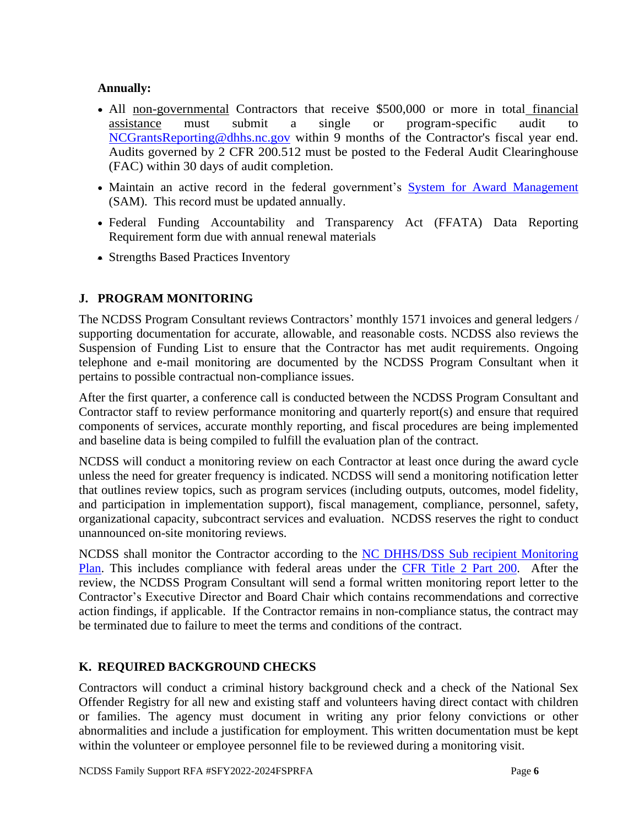## **Annually:**

- All non-governmental Contractors that receive \$500,000 or more in total financial assistance must submit a single or program-specific audit to NCGrantsReporting@dhhs.nc.gov within 9 months of the Contractor's fiscal year end. Audits governed by 2 CFR 200.512 must be posted to the Federal Audit Clearinghouse (FAC) within 30 days of audit completion.
- Maintain an active record in the federal government's **System for Award [Management](https://www.sam.gov/SAM/)** (SAM).This record must be updated annually.
- Federal Funding Accountability and Transparency Act (FFATA) Data Reporting Requirement form due with annual renewal materials
- Strengths Based Practices Inventory

# **J. PROGRAM MONITORING**

The NCDSS Program Consultant reviews Contractors' monthly 1571 invoices and general ledgers / supporting documentation for accurate, allowable, and reasonable costs. NCDSS also reviews the Suspension of Funding List to ensure that the Contractor has met audit requirements. Ongoing telephone and e-mail monitoring are documented by the NCDSS Program Consultant when it pertains to possible contractual non-compliance issues.

After the first quarter, a conference call is conducted between the NCDSS Program Consultant and Contractor staff to review performance monitoring and quarterly report(s) and ensure that required components of services, accurate monthly reporting, and fiscal procedures are being implemented and baseline data is being compiled to fulfill the evaluation plan of the contract.

NCDSS will conduct a monitoring review on each Contractor at least once during the award cycle unless the need for greater frequency is indicated. NCDSS will send a monitoring notification letter that outlines review topics, such as program services (including outputs, outcomes, model fidelity, and participation in implementation support), fiscal management, compliance, personnel, safety, organizational capacity, subcontract services and evaluation. NCDSS reserves the right to conduct unannounced on-site monitoring reviews.

NCDSS shall monitor the Contractor according to the [NC DHHS/DSS Sub recipient Monitoring](https://files.nc.gov/ncdhhs/documents/files/dss/monitoring/NC-DSS-Sub-Recipient-Contract-Monitoring-Plan-2015-2016-DRAFT.pdf)  [Plan.](https://files.nc.gov/ncdhhs/documents/files/dss/monitoring/NC-DSS-Sub-Recipient-Contract-Monitoring-Plan-2015-2016-DRAFT.pdf) This includes compliance with federal areas under the CFR Title [2 Part 200.](http://www.ecfr.gov/cgi-bin/text-idx?tpl=/ecfrbrowse/Title02/2cfr200_main_02.tpl) After the review, the NCDSS Program Consultant will send a formal written monitoring report letter to the Contractor's Executive Director and Board Chair which contains recommendations and corrective action findings, if applicable. If the Contractor remains in non-compliance status, the contract may be terminated due to failure to meet the terms and conditions of the contract.

## **K. REQUIRED BACKGROUND CHECKS**

Contractors will conduct a criminal history background check and a check of the National Sex Offender Registry for all new and existing staff and volunteers having direct contact with children or families. The agency must document in writing any prior felony convictions or other abnormalities and include a justification for employment. This written documentation must be kept within the volunteer or employee personnel file to be reviewed during a monitoring visit.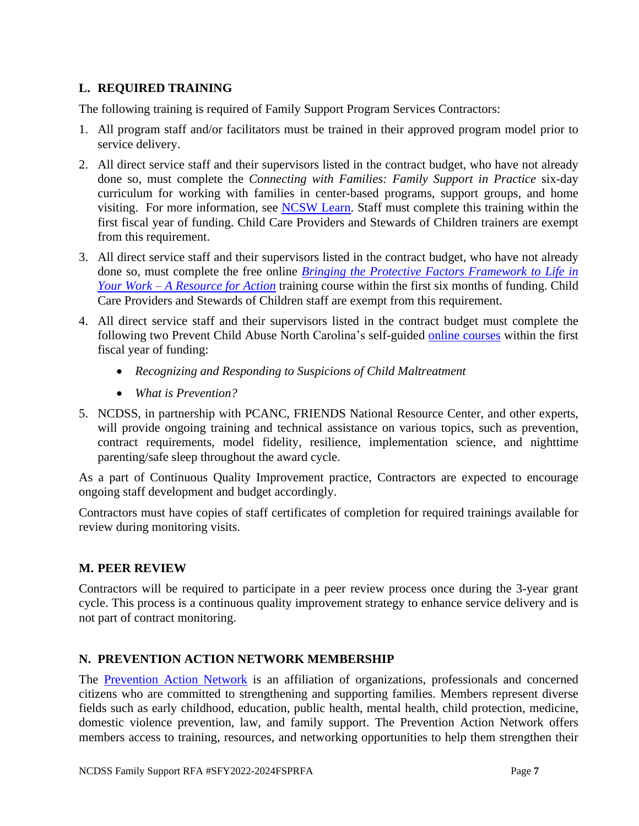## **L. REQUIRED TRAINING**

The following training is required of Family Support Program Services Contractors:

- 1. All program staff and/or facilitators must be trained in their approved program model prior to service delivery.
- 2. All direct service staff and their supervisors listed in the contract budget, who have not already done so, must complete the *Connecting with Families: Family Support in Practice* six-day curriculum for working with families in center-based programs, support groups, and home visiting. For more information, see [NCSW Learn.](https://www.ncswlearn.org/) Staff must complete this training within the first fiscal year of funding. Child Care Providers and Stewards of Children trainers are exempt from this requirement.
- 3. All direct service staff and their supervisors listed in the contract budget, who have not already done so, must complete the free online *[Bringing the Protective Factors Framework to Life in](https://ctfalliance.org/protective-factors/#OnlineTraining)  Your Work – [A Resource for Action](https://ctfalliance.org/protective-factors/#OnlineTraining)* training course within the first six months of funding. Child Care Providers and Stewards of Children staff are exempt from this requirement.
- 4. All direct service staff and their supervisors listed in the contract budget must complete the following two Prevent Child Abuse North Carolina's self-guided [online courses](https://www.preventchildabusenc.org/online-trainings/) within the first fiscal year of funding:
	- *Recognizing and Responding to Suspicions of Child Maltreatment*
	- *What is Prevention?*
- 5. NCDSS, in partnership with PCANC, FRIENDS National Resource Center, and other experts, will provide ongoing training and technical assistance on various topics, such as prevention, contract requirements, model fidelity, resilience, implementation science, and nighttime parenting/safe sleep throughout the award cycle.

As a part of Continuous Quality Improvement practice, Contractors are expected to encourage ongoing staff development and budget accordingly.

Contractors must have copies of staff certificates of completion for required trainings available for review during monitoring visits.

# **M. PEER REVIEW**

Contractors will be required to participate in a peer review process once during the 3-year grant cycle. This process is a continuous quality improvement strategy to enhance service delivery and is not part of contract monitoring.

# **N. PREVENTION ACTION NETWORK MEMBERSHIP**

The [Prevention Action Network](https://www.preventchildabusenc.org/what-you-can-do/prevention-action-network/#:~:text=The%20Prevention%20Action%20Network%20is,for%20all%20North%20Carolina%20children.) is an affiliation of organizations, professionals and concerned citizens who are committed to strengthening and supporting families. Members represent diverse fields such as early childhood, education, public health, mental health, child protection, medicine, domestic violence prevention, law, and family support. The Prevention Action Network offers members access to training, resources, and networking opportunities to help them strengthen their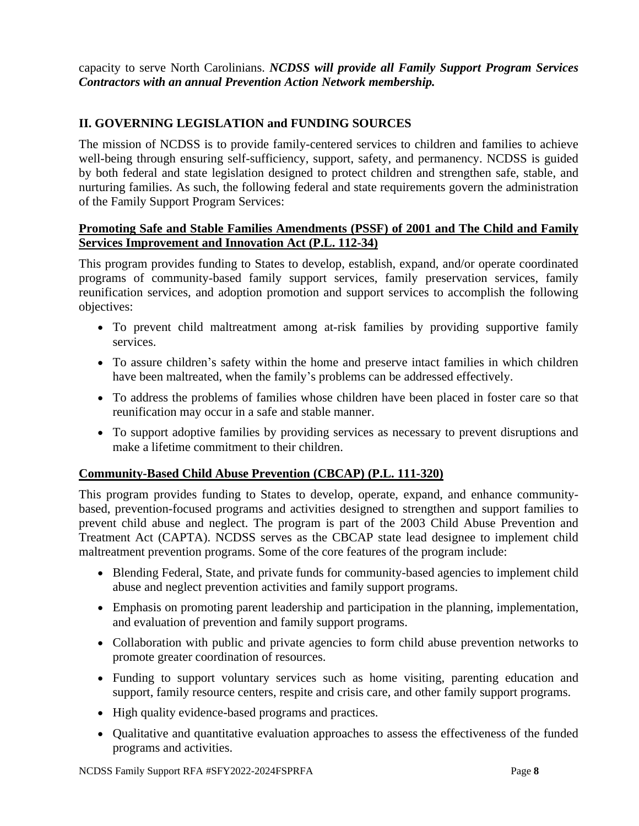capacity to serve North Carolinians. *NCDSS will provide all Family Support Program Services Contractors with an annual Prevention Action Network membership.*

## **II. GOVERNING LEGISLATION and FUNDING SOURCES**

The mission of NCDSS is to provide family-centered services to children and families to achieve well-being through ensuring self-sufficiency, support, safety, and permanency. NCDSS is guided by both federal and state legislation designed to protect children and strengthen safe, stable, and nurturing families. As such, the following federal and state requirements govern the administration of the Family Support Program Services:

### **Promoting Safe and Stable Families Amendments (PSSF) of 2001 and The Child and Family Services Improvement and Innovation Act (P.L. 112-34)**

This program provides funding to States to develop, establish, expand, and/or operate coordinated programs of community-based family support services, family preservation services, family reunification services, and adoption promotion and support services to accomplish the following objectives:

- To prevent child maltreatment among at-risk families by providing supportive family services.
- To assure children's safety within the home and preserve intact families in which children have been maltreated, when the family's problems can be addressed effectively.
- To address the problems of families whose children have been placed in foster care so that reunification may occur in a safe and stable manner.
- To support adoptive families by providing services as necessary to prevent disruptions and make a lifetime commitment to their children.

## **Community-Based Child Abuse Prevention (CBCAP) (P.L. 111-320)**

This program provides funding to States to develop, operate, expand, and enhance communitybased, prevention-focused programs and activities designed to strengthen and support families to prevent child abuse and neglect. The program is part of the 2003 Child Abuse Prevention and Treatment Act (CAPTA). NCDSS serves as the CBCAP state lead designee to implement child maltreatment prevention programs. Some of the core features of the program include:

- Blending Federal, State, and private funds for community-based agencies to implement child abuse and neglect prevention activities and family support programs.
- Emphasis on promoting parent leadership and participation in the planning, implementation, and evaluation of prevention and family support programs.
- Collaboration with public and private agencies to form child abuse prevention networks to promote greater coordination of resources.
- Funding to support voluntary services such as home visiting, parenting education and support, family resource centers, respite and crisis care, and other family support programs.
- High quality evidence-based programs and practices.
- Qualitative and quantitative evaluation approaches to assess the effectiveness of the funded programs and activities.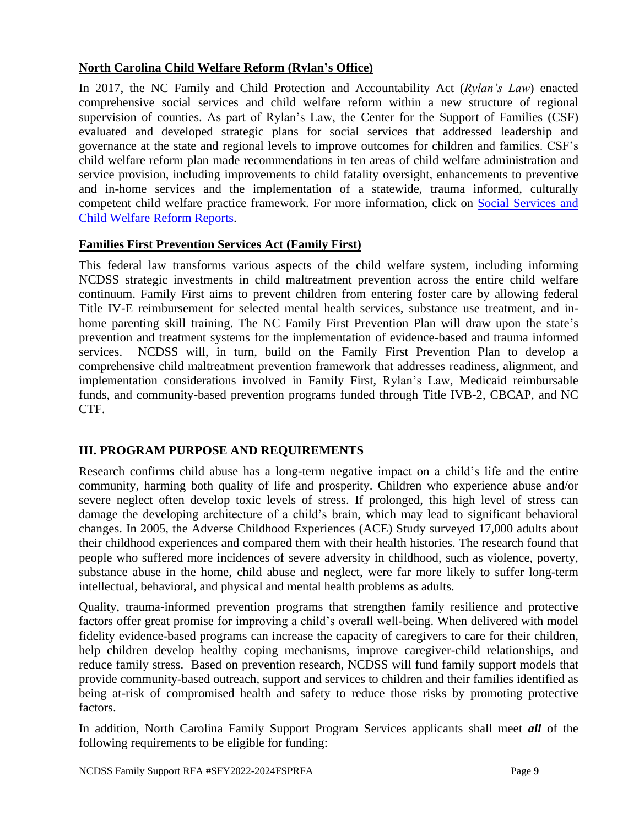## **North Carolina Child Welfare Reform (Rylan's Office)**

In 2017, the NC Family and Child Protection and Accountability Act (*Rylan's Law*) enacted comprehensive social services and child welfare reform within a new structure of regional supervision of counties. As part of Rylan's Law, the Center for the Support of Families (CSF) evaluated and developed strategic plans for social services that addressed leadership and governance at the state and regional levels to improve outcomes for children and families. CSF's child welfare reform plan made recommendations in ten areas of child welfare administration and service provision, including improvements to child fatality oversight, enhancements to preventive and in-home services and the implementation of a statewide, trauma informed, culturally competent child welfare practice framework. For more information, click on [Social Services and](https://www.osbm.nc.gov/social-services-and-child-welfare-reform-reports)  [Child Welfare Reform](https://www.osbm.nc.gov/social-services-and-child-welfare-reform-reports) Reports.

## **Families First Prevention Services Act (Family First)**

This federal law transforms various aspects of the child welfare system, including informing NCDSS strategic investments in child maltreatment prevention across the entire child welfare continuum. Family First aims to prevent children from entering foster care by allowing federal Title IV-E reimbursement for selected mental health services, substance use treatment, and inhome parenting skill training. The NC Family First Prevention Plan will draw upon the state's prevention and treatment systems for the implementation of evidence-based and trauma informed services. NCDSS will, in turn, build on the Family First Prevention Plan to develop a comprehensive child maltreatment prevention framework that addresses readiness, alignment, and implementation considerations involved in Family First, Rylan's Law, Medicaid reimbursable funds, and community-based prevention programs funded through Title IVB-2, CBCAP, and NC CTF.

# **III. PROGRAM PURPOSE AND REQUIREMENTS**

Research confirms child abuse has a long-term negative impact on a child's life and the entire community, harming both quality of life and prosperity. Children who experience abuse and/or severe neglect often develop toxic levels of stress. If prolonged, this high level of stress can damage the developing architecture of a child's brain, which may lead to significant behavioral changes. In 2005, the Adverse Childhood Experiences (ACE) Study surveyed 17,000 adults about their childhood experiences and compared them with their health histories. The research found that people who suffered more incidences of severe adversity in childhood, such as violence, poverty, substance abuse in the home, child abuse and neglect, were far more likely to suffer long-term intellectual, behavioral, and physical and mental health problems as adults.

Quality, trauma-informed prevention programs that strengthen family resilience and protective factors offer great promise for improving a child's overall well-being. When delivered with model fidelity evidence-based programs can increase the capacity of caregivers to care for their children, help children develop healthy coping mechanisms, improve caregiver-child relationships, and reduce family stress. Based on prevention research, NCDSS will fund family support models that provide community-based outreach, support and services to children and their families identified as being at-risk of compromised health and safety to reduce those risks by promoting protective factors.

In addition, North Carolina Family Support Program Services applicants shall meet *all* of the following requirements to be eligible for funding: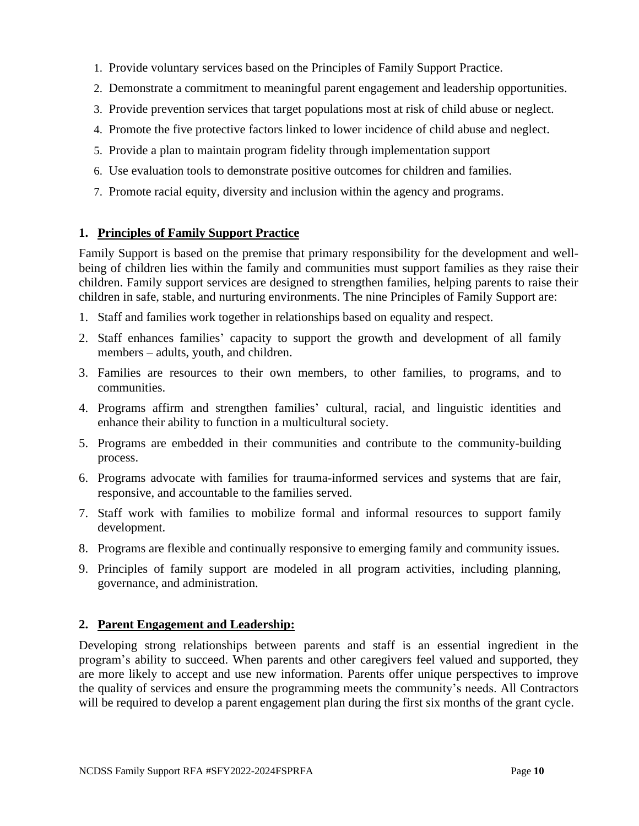- 1. Provide voluntary services based on the Principles of Family Support Practice.
- 2. Demonstrate a commitment to meaningful parent engagement and leadership opportunities.
- 3. Provide prevention services that target populations most at risk of child abuse or neglect.
- 4. Promote the five protective factors linked to lower incidence of child abuse and neglect.
- 5. Provide a plan to maintain program fidelity through implementation support
- 6. Use evaluation tools to demonstrate positive outcomes for children and families.
- 7. Promote racial equity, diversity and inclusion within the agency and programs.

## **1. Principles of Family Support Practice**

Family Support is based on the premise that primary responsibility for the development and wellbeing of children lies within the family and communities must support families as they raise their children. Family support services are designed to strengthen families, helping parents to raise their children in safe, stable, and nurturing environments. The nine Principles of Family Support are:

- 1. Staff and families work together in relationships based on equality and respect.
- 2. Staff enhances families' capacity to support the growth and development of all family members – adults, youth, and children.
- 3. Families are resources to their own members, to other families, to programs, and to communities.
- 4. Programs affirm and strengthen families' cultural, racial, and linguistic identities and enhance their ability to function in a multicultural society.
- 5. Programs are embedded in their communities and contribute to the community-building process.
- 6. Programs advocate with families for trauma-informed services and systems that are fair, responsive, and accountable to the families served.
- 7. Staff work with families to mobilize formal and informal resources to support family development.
- 8. Programs are flexible and continually responsive to emerging family and community issues.
- 9. Principles of family support are modeled in all program activities, including planning, governance, and administration.

# **2. Parent Engagement and Leadership:**

Developing strong relationships between parents and staff is an essential ingredient in the program's ability to succeed. When parents and other caregivers feel valued and supported, they are more likely to accept and use new information. Parents offer unique perspectives to improve the quality of services and ensure the programming meets the community's needs. All Contractors will be required to develop a parent engagement plan during the first six months of the grant cycle.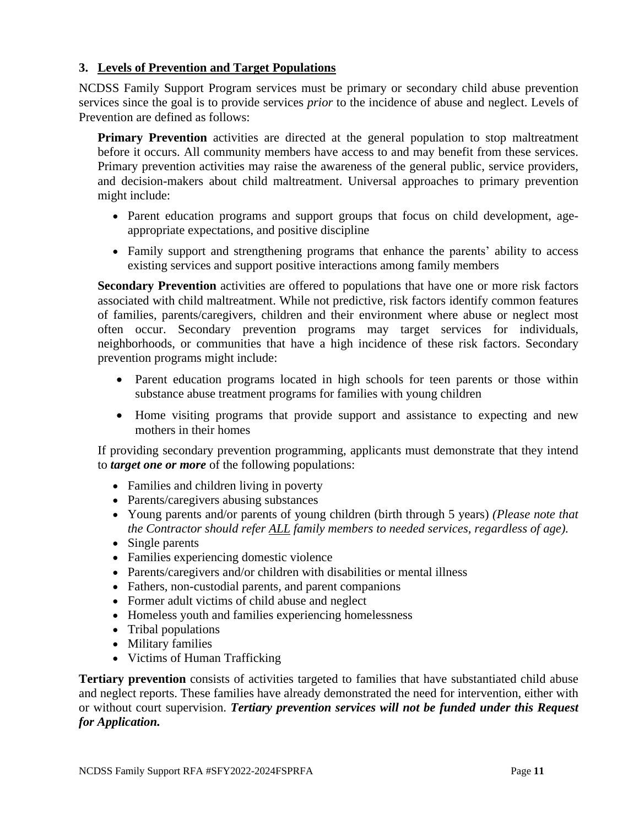## **3. Levels of Prevention and Target Populations**

NCDSS Family Support Program services must be primary or secondary child abuse prevention services since the goal is to provide services *prior* to the incidence of abuse and neglect. Levels of Prevention are defined as follows:

**Primary Prevention** activities are directed at the general population to stop maltreatment before it occurs. All community members have access to and may benefit from these services. Primary prevention activities may raise the awareness of the general public, service providers, and decision-makers about child maltreatment. Universal approaches to primary prevention might include:

- Parent education programs and support groups that focus on child development, ageappropriate expectations, and positive discipline
- Family support and strengthening programs that enhance the parents' ability to access existing services and support positive interactions among family members

**Secondary Prevention** activities are offered to populations that have one or more risk factors associated with child maltreatment. While not predictive, risk factors identify common features of families, parents/caregivers, children and their environment where abuse or neglect most often occur. Secondary prevention programs may target services for individuals, neighborhoods, or communities that have a high incidence of these risk factors. Secondary prevention programs might include:

- Parent education programs located in high schools for teen parents or those within substance abuse treatment programs for families with young children
- Home visiting programs that provide support and assistance to expecting and new mothers in their homes

If providing secondary prevention programming, applicants must demonstrate that they intend to *target one or more* of the following populations:

- Families and children living in poverty
- Parents/caregivers abusing substances
- Young parents and/or parents of young children (birth through 5 years) *(Please note that the Contractor should refer ALL family members to needed services, regardless of age).*
- Single parents
- Families experiencing domestic violence
- Parents/caregivers and/or children with disabilities or mental illness
- Fathers, non-custodial parents, and parent companions
- Former adult victims of child abuse and neglect
- Homeless youth and families experiencing homelessness
- Tribal populations
- Military families
- Victims of Human Trafficking

**Tertiary prevention** consists of activities targeted to families that have substantiated child abuse and neglect reports. These families have already demonstrated the need for intervention, either with or without court supervision. *Tertiary prevention services will not be funded under this Request for Application.*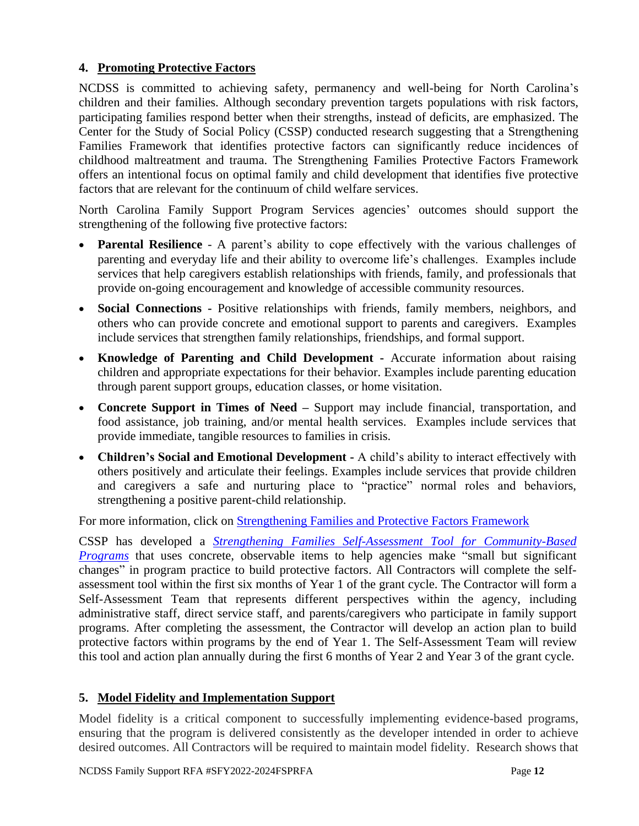### **4. Promoting Protective Factors**

NCDSS is committed to achieving safety, permanency and well-being for North Carolina's children and their families. Although secondary prevention targets populations with risk factors, participating families respond better when their strengths, instead of deficits, are emphasized. The Center for the Study of Social Policy (CSSP) conducted research suggesting that a Strengthening Families Framework that identifies protective factors can significantly reduce incidences of childhood maltreatment and trauma. The Strengthening Families Protective Factors Framework offers an intentional focus on optimal family and child development that identifies five protective factors that are relevant for the continuum of child welfare services.

North Carolina Family Support Program Services agencies' outcomes should support the strengthening of the following five protective factors:

- **Parental Resilience** A parent's ability to cope effectively with the various challenges of parenting and everyday life and their ability to overcome life's challenges. Examples include services that help caregivers establish relationships with friends, family, and professionals that provide on-going encouragement and knowledge of accessible community resources.
- **Social Connections -** Positive relationships with friends, family members, neighbors, and others who can provide concrete and emotional support to parents and caregivers. Examples include services that strengthen family relationships, friendships, and formal support.
- **Knowledge of Parenting and Child Development -** Accurate information about raising children and appropriate expectations for their behavior. Examples include parenting education through parent support groups, education classes, or home visitation.
- **Concrete Support in Times of Need –** Support may include financial, transportation, and food assistance, job training, and/or mental health services. Examples include services that provide immediate, tangible resources to families in crisis.
- **Children's Social and Emotional Development -** A child's ability to interact effectively with others positively and articulate their feelings. Examples include services that provide children and caregivers a safe and nurturing place to "practice" normal roles and behaviors, strengthening a positive parent-child relationship.

For more information, click on Strengthening [Families and Protective Factors Framework](https://cssp.org/resource/about-strengthening-families-and-the-protective-factors-framework/)

CSSP has developed a *Strengthening [Families Self-Assessment Tool for Community-Based](https://cssp.org/our-work/projects/self-assessments-for-programs/)  [Programs](https://cssp.org/our-work/projects/self-assessments-for-programs/)* that uses concrete, observable items to help agencies make "small but significant changes" in program practice to build protective factors. All Contractors will complete the selfassessment tool within the first six months of Year 1 of the grant cycle. The Contractor will form a Self-Assessment Team that represents different perspectives within the agency, including administrative staff, direct service staff, and parents/caregivers who participate in family support programs. After completing the assessment, the Contractor will develop an action plan to build protective factors within programs by the end of Year 1. The Self-Assessment Team will review this tool and action plan annually during the first 6 months of Year 2 and Year 3 of the grant cycle.

## **5. Model Fidelity and Implementation Support**

Model fidelity is a critical component to successfully implementing evidence-based programs, ensuring that the program is delivered consistently as the developer intended in order to achieve desired outcomes. All Contractors will be required to maintain model fidelity. Research shows that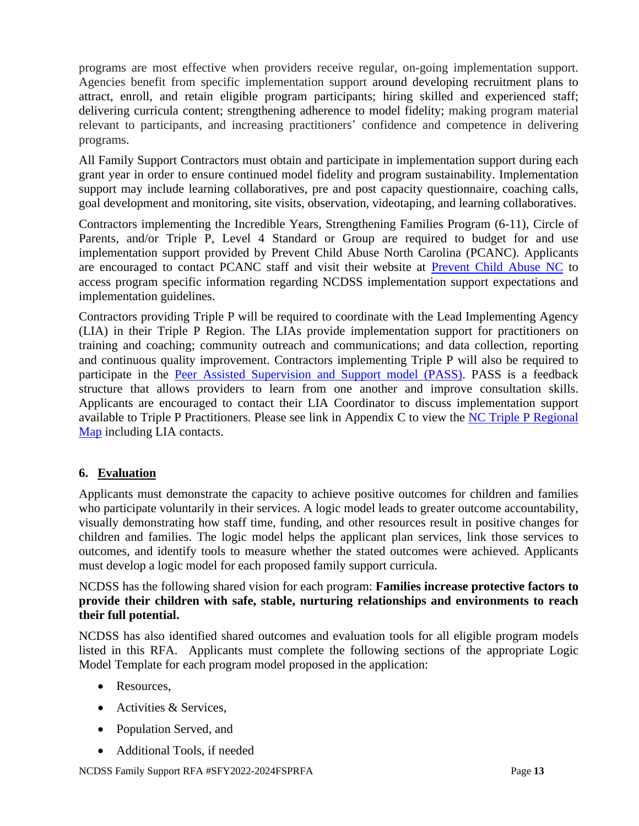programs are most effective when providers receive regular, on-going implementation support. Agencies benefit from specific implementation support around developing recruitment plans to attract, enroll, and retain eligible program participants; hiring skilled and experienced staff; delivering curricula content; strengthening adherence to model fidelity; making program material relevant to participants, and increasing practitioners' confidence and competence in delivering programs.

All Family Support Contractors must obtain and participate in implementation support during each grant year in order to ensure continued model fidelity and program sustainability. Implementation support may include learning collaboratives, pre and post capacity questionnaire, coaching calls, goal development and monitoring, site visits, observation, videotaping, and learning collaboratives.

Contractors implementing the Incredible Years, Strengthening Families Program (6-11), Circle of Parents, and/or Triple P, Level 4 Standard or Group are required to budget for and use implementation support provided by Prevent Child Abuse North Carolina (PCANC). Applicants are encouraged to contact PCANC staff and visit their website at [Prevent Child Abuse NC](https://www.preventchildabusenc.org/) to access program specific information regarding NCDSS implementation support expectations and implementation guidelines.

Contractors providing Triple P will be required to coordinate with the Lead Implementing Agency (LIA) in their Triple P Region. The LIAs provide implementation support for practitioners on training and coaching; community outreach and communications; and data collection, reporting and continuous quality improvement. Contractors implementing Triple P will also be required to participate in the [Peer Assisted Supervision and Support model \(PASS\).](https://www.triplep.net/glo-en/the-triple-p-system-at-work/training-and-delivery/organisational-supports/) PASS is a feedback structure that allows providers to learn from one another and improve consultation skills. Applicants are encouraged to contact their LIA Coordinator to discuss implementation support available to Triple P Practitioners. Please see link in Appendix C to view the  $NC$  Triple P Regional [Map](https://files.nc.gov/ncdhhs/documents/files/dss/publicnotices/2022-2024-family-support/NC-Triple-P-Regional-Map.pdf) including LIA contacts.

## **6. Evaluation**

Applicants must demonstrate the capacity to achieve positive outcomes for children and families who participate voluntarily in their services. A logic model leads to greater outcome accountability, visually demonstrating how staff time, funding, and other resources result in positive changes for children and families. The logic model helps the applicant plan services, link those services to outcomes, and identify tools to measure whether the stated outcomes were achieved. Applicants must develop a logic model for each proposed family support curricula.

NCDSS has the following shared vision for each program: **Families increase protective factors to provide their children with safe, stable, nurturing relationships and environments to reach their full potential.**

NCDSS has also identified shared outcomes and evaluation tools for all eligible program models listed in this RFA. Applicants must complete the following sections of the appropriate Logic Model Template for each program model proposed in the application:

- Resources.
- Activities & Services.
- Population Served, and
- Additional Tools, if needed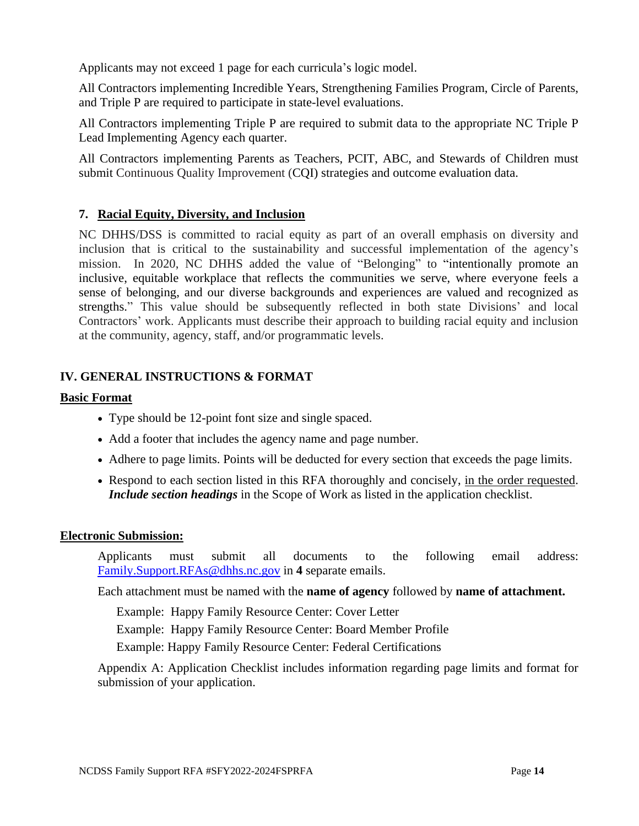Applicants may not exceed 1 page for each curricula's logic model.

All Contractors implementing Incredible Years, Strengthening Families Program, Circle of Parents, and Triple P are required to participate in state-level evaluations.

All Contractors implementing Triple P are required to submit data to the appropriate NC Triple P Lead Implementing Agency each quarter.

All Contractors implementing Parents as Teachers, PCIT, ABC, and Stewards of Children must submit Continuous Quality Improvement (CQI) strategies and outcome evaluation data.

## **7. Racial Equity, Diversity, and Inclusion**

NC DHHS/DSS is committed to racial equity as part of an overall emphasis on diversity and inclusion that is critical to the sustainability and successful implementation of the agency's mission. In 2020, NC DHHS added the value of "Belonging" to "intentionally promote an inclusive, equitable workplace that reflects the communities we serve, where everyone feels a sense of belonging, and our diverse backgrounds and experiences are valued and recognized as strengths." This value should be subsequently reflected in both state Divisions' and local Contractors' work. Applicants must describe their approach to building racial equity and inclusion at the community, agency, staff, and/or programmatic levels.

# **IV. GENERAL INSTRUCTIONS & FORMAT**

### **Basic Format**

- Type should be 12-point font size and single spaced.
- Add a footer that includes the agency name and page number.
- Adhere to page limits. Points will be deducted for every section that exceeds the page limits.
- Respond to each section listed in this RFA thoroughly and concisely, in the order requested. *Include section headings* in the Scope of Work as listed in the application checklist.

## **Electronic Submission:**

Applicants must submit all documents to the following email address: [Family.Support.RFAs@dhhs.nc.gov](mailto:Family.Support.RFAs@dhhs.nc.gov) in **4** separate emails.

Each attachment must be named with the **name of agency** followed by **name of attachment.**

Example: Happy Family Resource Center: Cover Letter

Example: Happy Family Resource Center: Board Member Profile

Example: Happy Family Resource Center: Federal Certifications

Appendix A: Application Checklist includes information regarding page limits and format for submission of your application.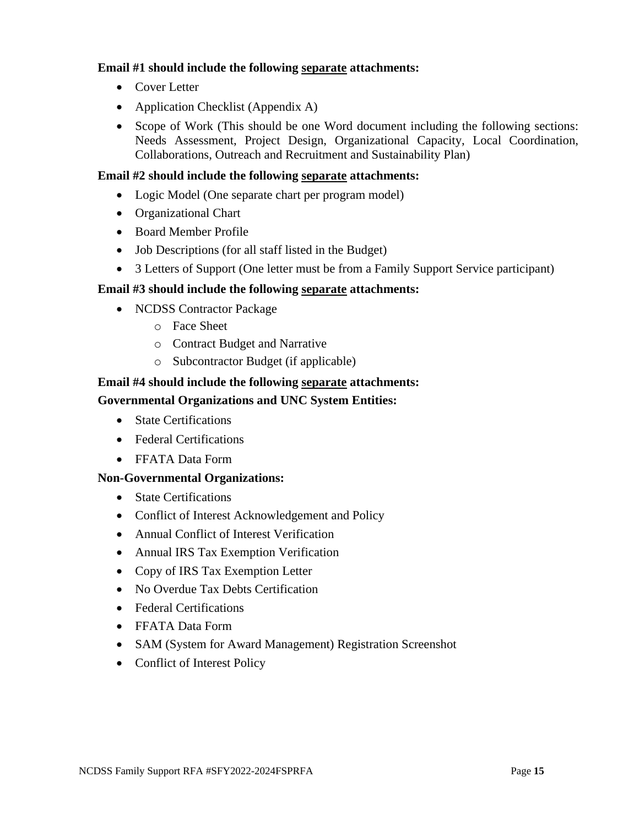### **Email #1 should include the following separate attachments:**

- Cover Letter
- Application Checklist (Appendix A)
- Scope of Work (This should be one Word document including the following sections: Needs Assessment, Project Design, Organizational Capacity, Local Coordination, Collaborations, Outreach and Recruitment and Sustainability Plan)

#### **Email #2 should include the following separate attachments:**

- Logic Model (One separate chart per program model)
- Organizational Chart
- Board Member Profile
- Job Descriptions (for all staff listed in the Budget)
- 3 Letters of Support (One letter must be from a Family Support Service participant)

### **Email #3 should include the following separate attachments:**

- NCDSS Contractor Package
	- o Face Sheet
	- o Contract Budget and Narrative
	- o Subcontractor Budget (if applicable)

### **Email #4 should include the following separate attachments:**

#### **Governmental Organizations and UNC System Entities:**

- State Certifications
- Federal Certifications
- FFATA Data Form

#### **Non-Governmental Organizations:**

- State Certifications
- Conflict of Interest Acknowledgement and Policy
- Annual Conflict of Interest Verification
- Annual IRS Tax Exemption Verification
- Copy of IRS Tax Exemption Letter
- No Overdue Tax Debts Certification
- Federal Certifications
- FFATA Data Form
- SAM (System for Award Management) Registration Screenshot
- Conflict of Interest Policy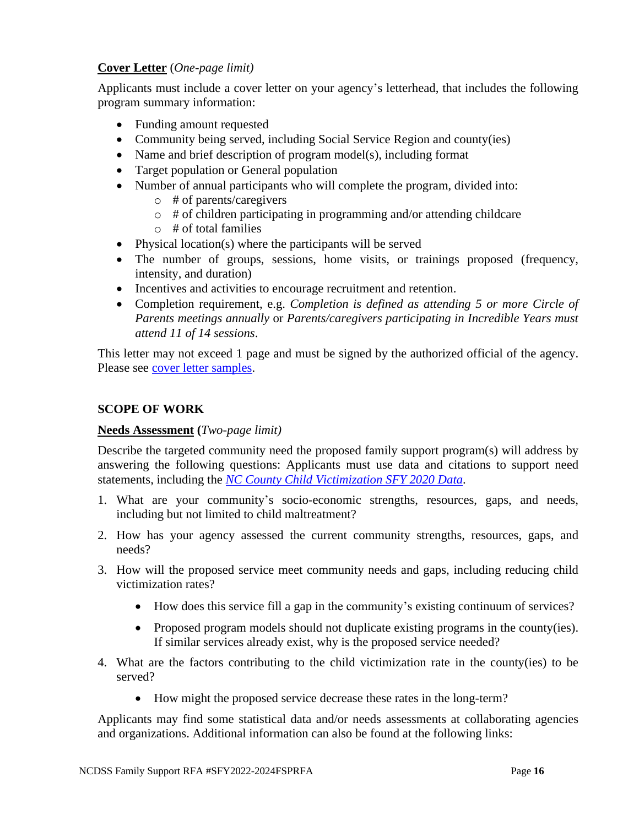## **Cover Letter** (*One-page limit)*

Applicants must include a cover letter on your agency's letterhead, that includes the following program summary information:

- Funding amount requested
- Community being served, including Social Service Region and county(ies)
- Name and brief description of program model(s), including format
- Target population or General population
- Number of annual participants who will complete the program, divided into:
	- o # of parents/caregivers
	- $\circ$  # of children participating in programming and/or attending childcare
	- $\circ$  # of total families
- Physical location(s) where the participants will be served
- The number of groups, sessions, home visits, or trainings proposed (frequency, intensity, and duration)
- Incentives and activities to encourage recruitment and retention.
- Completion requirement, e.g. *Completion is defined as attending 5 or more Circle of Parents meetings annually* or *Parents/caregivers participating in Incredible Years must attend 11 of 14 sessions*.

This letter may not exceed 1 page and must be signed by the authorized official of the agency. Please see [cover letter samples.](https://files.nc.gov/ncdhhs/documents/files/dss/publicnotices/2022-2024-family-support/Cover-Letter-Samples.docx)

## **SCOPE OF WORK**

## **Needs Assessment (***Two-page limit)*

Describe the targeted community need the proposed family support program(s) will address by answering the following questions: Applicants must use data and citations to support need statements, including the *NC County Child Victimization [SFY 2020 Data](https://files.nc.gov/ncdhhs/documents/files/dss/publicnotices/2022-2024-family-support/NC-County-Child-Victimization-2020-Data.xlsx)*.

- 1. What are your community's socio-economic strengths, resources, gaps, and needs, including but not limited to child maltreatment?
- 2. How has your agency assessed the current community strengths, resources, gaps, and needs?
- 3. How will the proposed service meet community needs and gaps, including reducing child victimization rates?
	- How does this service fill a gap in the community's existing continuum of services?
	- Proposed program models should not duplicate existing programs in the county(ies). If similar services already exist, why is the proposed service needed?
- 4. What are the factors contributing to the child victimization rate in the county(ies) to be served?
	- How might the proposed service decrease these rates in the long-term?

Applicants may find some statistical data and/or needs assessments at collaborating agencies and organizations. Additional information can also be found at the following links: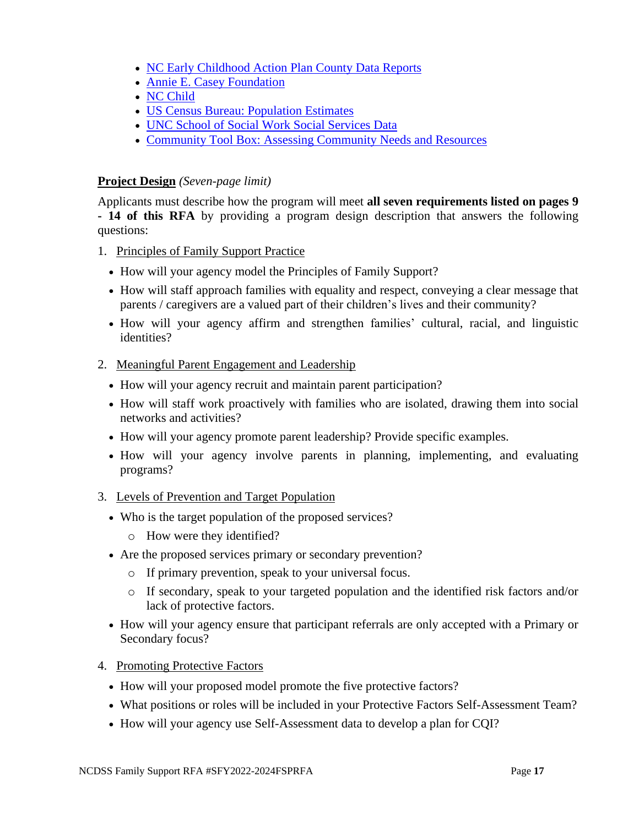- [NC Early Childhood Action Plan County Data](https://www.ncdhhs.gov/about/department-initiatives/early-childhood/early-childhood-data/early-childhood-action-plan-county) Reports
- [Annie E. Casey Foundation](https://www.aecf.org/)
- [NC Child](https://ncchild.org/)
- US Census Bureau: [Population Estimates](https://www.census.gov/programs-surveys/popest.html)
- [UNC School of Social Work Social Services Data](https://ssw.unc.edu/ma/)
- [Community Tool Box: Assessing Community](https://ctb.ku.edu/en/table-of-contents/assessment/assessing-community-needs-and-resources) Needs and Resources

## **Project Design** *(Seven-page limit)*

Applicants must describe how the program will meet **all seven requirements listed on pages 9 - 14 of this RFA** by providing a program design description that answers the following questions:

- 1. Principles of Family Support Practice
	- How will your agency model the Principles of Family Support?
	- How will staff approach families with equality and respect, conveying a clear message that parents / caregivers are a valued part of their children's lives and their community?
	- How will your agency affirm and strengthen families' cultural, racial, and linguistic identities?

## 2. Meaningful Parent Engagement and Leadership

- How will your agency recruit and maintain parent participation?
- How will staff work proactively with families who are isolated, drawing them into social networks and activities?
- How will your agency promote parent leadership? Provide specific examples.
- How will your agency involve parents in planning, implementing, and evaluating programs?

## 3. Levels of Prevention and Target Population

- Who is the target population of the proposed services?
	- o How were they identified?
- Are the proposed services primary or secondary prevention?
	- o If primary prevention, speak to your universal focus.
	- o If secondary, speak to your targeted population and the identified risk factors and/or lack of protective factors.
- How will your agency ensure that participant referrals are only accepted with a Primary or Secondary focus?
- 4. Promoting Protective Factors
	- How will your proposed model promote the five protective factors?
	- What positions or roles will be included in your Protective Factors Self-Assessment Team?
	- How will your agency use Self-Assessment data to develop a plan for CQI?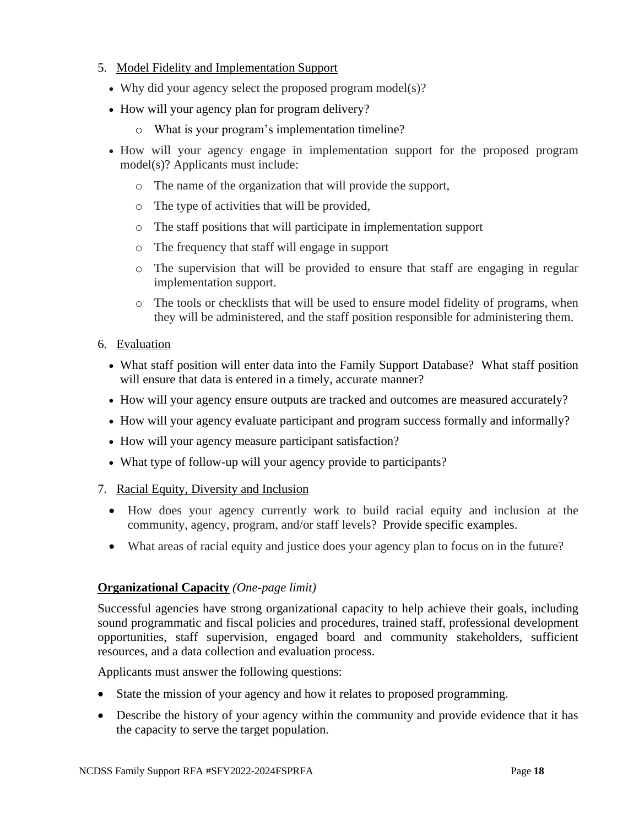### 5. Model Fidelity and Implementation Support

- Why did your agency select the proposed program model(s)?
- How will your agency plan for program delivery?
	- o What is your program's implementation timeline?
- How will your agency engage in implementation support for the proposed program model(s)? Applicants must include:
	- o The name of the organization that will provide the support,
	- o The type of activities that will be provided,
	- o The staff positions that will participate in implementation support
	- o The frequency that staff will engage in support
	- o The supervision that will be provided to ensure that staff are engaging in regular implementation support.
	- o The tools or checklists that will be used to ensure model fidelity of programs, when they will be administered, and the staff position responsible for administering them.

#### 6. Evaluation

- What staff position will enter data into the Family Support Database? What staff position will ensure that data is entered in a timely, accurate manner?
- How will your agency ensure outputs are tracked and outcomes are measured accurately?
- How will your agency evaluate participant and program success formally and informally?
- How will your agency measure participant satisfaction?
- What type of follow-up will your agency provide to participants?
- 7. Racial Equity, Diversity and Inclusion
	- How does your agency currently work to build racial equity and inclusion at the community, agency, program, and/or staff levels? Provide specific examples.
	- What areas of racial equity and justice does your agency plan to focus on in the future?

## **Organizational Capacity** *(One-page limit)*

Successful agencies have strong organizational capacity to help achieve their goals, including sound programmatic and fiscal policies and procedures, trained staff, professional development opportunities, staff supervision, engaged board and community stakeholders, sufficient resources, and a data collection and evaluation process.

Applicants must answer the following questions:

- State the mission of your agency and how it relates to proposed programming.
- Describe the history of your agency within the community and provide evidence that it has the capacity to serve the target population.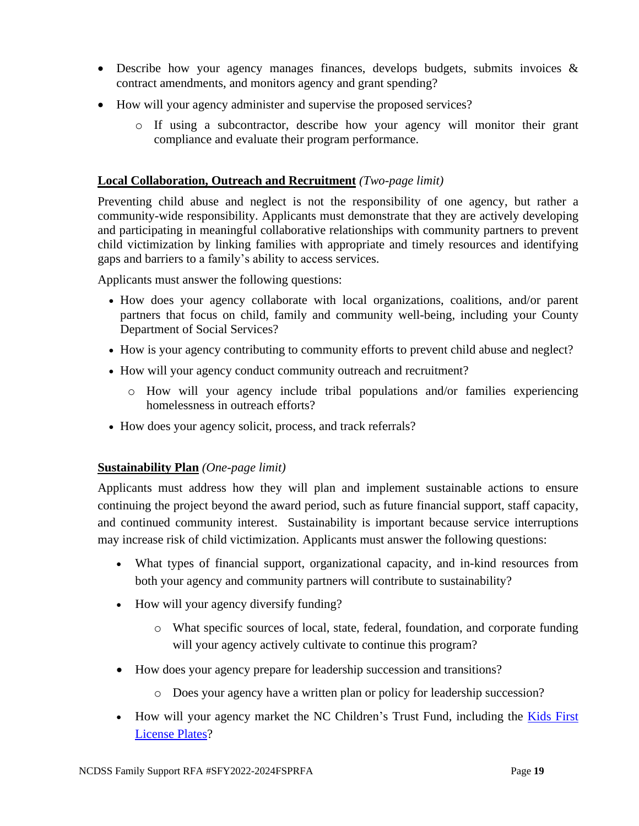- Describe how your agency manages finances, develops budgets, submits invoices & contract amendments, and monitors agency and grant spending?
- How will your agency administer and supervise the proposed services?
	- o If using a subcontractor, describe how your agency will monitor their grant compliance and evaluate their program performance.

### **Local Collaboration, Outreach and Recruitment** *(Two-page limit)*

Preventing child abuse and neglect is not the responsibility of one agency, but rather a community-wide responsibility. Applicants must demonstrate that they are actively developing and participating in meaningful collaborative relationships with community partners to prevent child victimization by linking families with appropriate and timely resources and identifying gaps and barriers to a family's ability to access services.

Applicants must answer the following questions:

- How does your agency collaborate with local organizations, coalitions, and/or parent partners that focus on child, family and community well-being, including your County Department of Social Services?
- How is your agency contributing to community efforts to prevent child abuse and neglect?
- How will your agency conduct community outreach and recruitment?
	- o How will your agency include tribal populations and/or families experiencing homelessness in outreach efforts?
- How does your agency solicit, process, and track referrals?

## **Sustainability Plan** *(One-page limit)*

Applicants must address how they will plan and implement sustainable actions to ensure continuing the project beyond the award period, such as future financial support, staff capacity, and continued community interest. Sustainability is important because service interruptions may increase risk of child victimization. Applicants must answer the following questions:

- What types of financial support, organizational capacity, and in-kind resources from both your agency and community partners will contribute to sustainability?
- How will your agency diversify funding?
	- o What specific sources of local, state, federal, foundation, and corporate funding will your agency actively cultivate to continue this program?
- How does your agency prepare for leadership succession and transitions?
	- o Does your agency have a written plan or policy for leadership succession?
- How will your agency market the NC Children's Trust Fund, including the [Kids](https://www.preventchildabusenc.org/what-you-can-do/kids-first-license-plates/) First [License Plates?](https://www.preventchildabusenc.org/what-you-can-do/kids-first-license-plates/)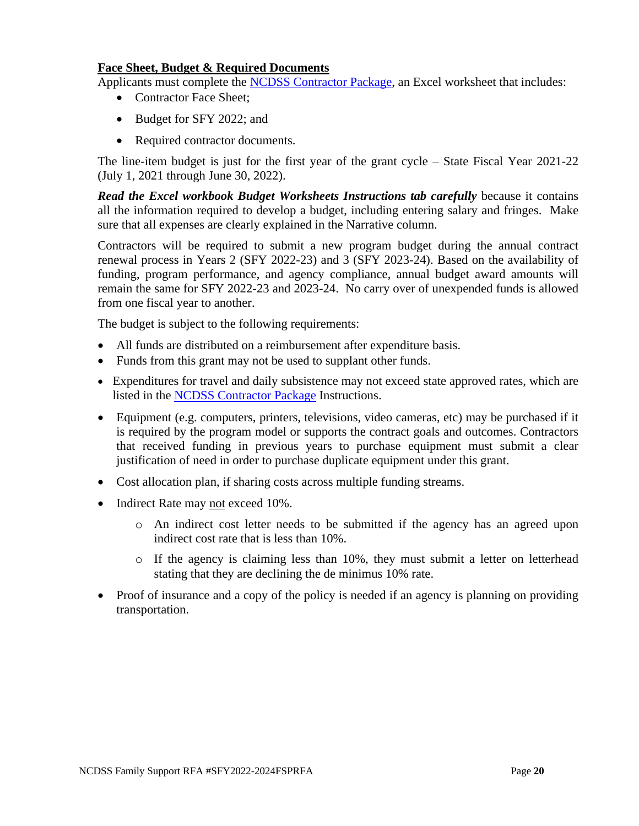### **Face Sheet, Budget & Required Documents**

Applicants must complete the NCDSS [Contractor](https://files.nc.gov/ncdhhs/documents/files/dss/publicnotices/2022-2024-family-support/NCDSS-Contractor-Package.xls) Package, an Excel worksheet that includes:

- Contractor Face Sheet;
- Budget for SFY 2022; and
- Required contractor documents.

The line-item budget is just for the first year of the grant cycle – State Fiscal Year 2021-22 (July 1, 2021 through June 30, 2022).

*Read the Excel workbook Budget Worksheets Instructions tab carefully* because it contains all the information required to develop a budget, including entering salary and fringes. Make sure that all expenses are clearly explained in the Narrative column.

Contractors will be required to submit a new program budget during the annual contract renewal process in Years 2 (SFY 2022-23) and 3 (SFY 2023-24). Based on the availability of funding, program performance, and agency compliance, annual budget award amounts will remain the same for SFY 2022-23 and 2023-24. No carry over of unexpended funds is allowed from one fiscal year to another.

The budget is subject to the following requirements:

- All funds are distributed on a reimbursement after expenditure basis.
- Funds from this grant may not be used to supplant other funds.
- Expenditures for travel and daily subsistence may not exceed state approved rates, which are listed in the [NCDSS Contractor Package](https://files.nc.gov/ncdhhs/documents/files/dss/publicnotices/2022-2024-family-support/NCDSS-Contractor-Package.xls) Instructions.
- Equipment (e.g. computers, printers, televisions, video cameras, etc) may be purchased if it is required by the program model or supports the contract goals and outcomes. Contractors that received funding in previous years to purchase equipment must submit a clear justification of need in order to purchase duplicate equipment under this grant.
- Cost allocation plan, if sharing costs across multiple funding streams.
- Indirect Rate may not exceed 10%.
	- o An indirect cost letter needs to be submitted if the agency has an agreed upon indirect cost rate that is less than 10%.
	- o If the agency is claiming less than 10%, they must submit a letter on letterhead stating that they are declining the de minimus 10% rate.
- Proof of insurance and a copy of the policy is needed if an agency is planning on providing transportation.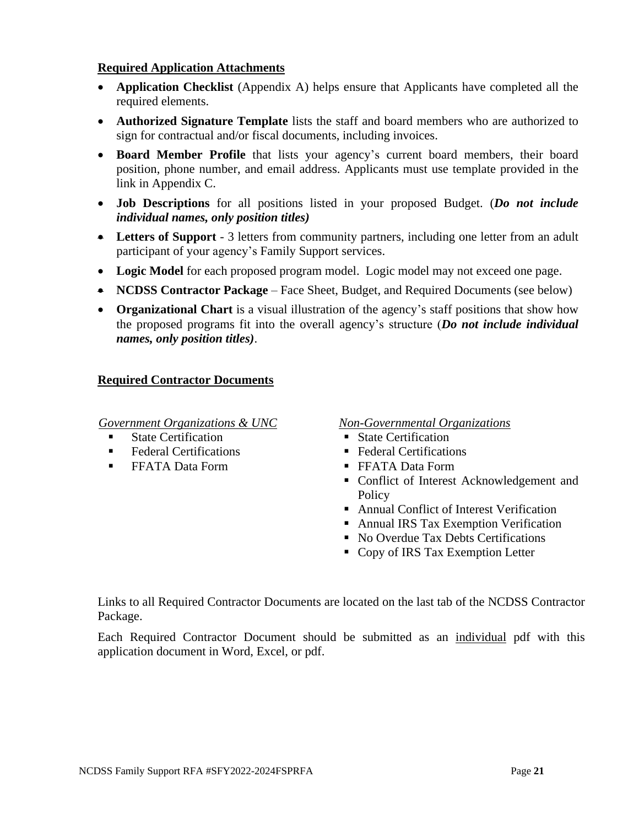#### **Required Application Attachments**

- **Application Checklist** (Appendix A) helps ensure that Applicants have completed all the required elements.
- **Authorized Signature Template** lists the staff and board members who are authorized to sign for contractual and/or fiscal documents, including invoices.
- **Board Member Profile** that lists your agency's current board members, their board position, phone number, and email address. Applicants must use template provided in the link in Appendix C.
- **Job Descriptions** for all positions listed in your proposed Budget. (*Do not include individual names, only position titles)*
- **Letters of Support** 3 letters from community partners, including one letter from an adult participant of your agency's Family Support services.
- **Logic Model** for each proposed program model. Logic model may not exceed one page.
- **NCDSS Contractor Package** Face Sheet, Budget, and Required Documents (see below)
- **Organizational Chart** is a visual illustration of the agency's staff positions that show how the proposed programs fit into the overall agency's structure (*Do not include individual names, only position titles)*.

#### **Required Contractor Documents**

*Government Organizations & UNC*

- State Certification
- **Federal Certifications**
- **FFATA Data Form**

*Non-Governmental Organizations*

- State Certification
- Federal Certifications
- FFATA Data Form
- Conflict of Interest Acknowledgement and Policy
- Annual Conflict of Interest Verification
- Annual IRS Tax Exemption Verification
- No Overdue Tax Debts Certifications
- Copy of IRS Tax Exemption Letter

Links to all Required Contractor Documents are located on the last tab of the NCDSS Contractor Package.

Each Required Contractor Document should be submitted as an individual pdf with this application document in Word, Excel, or pdf.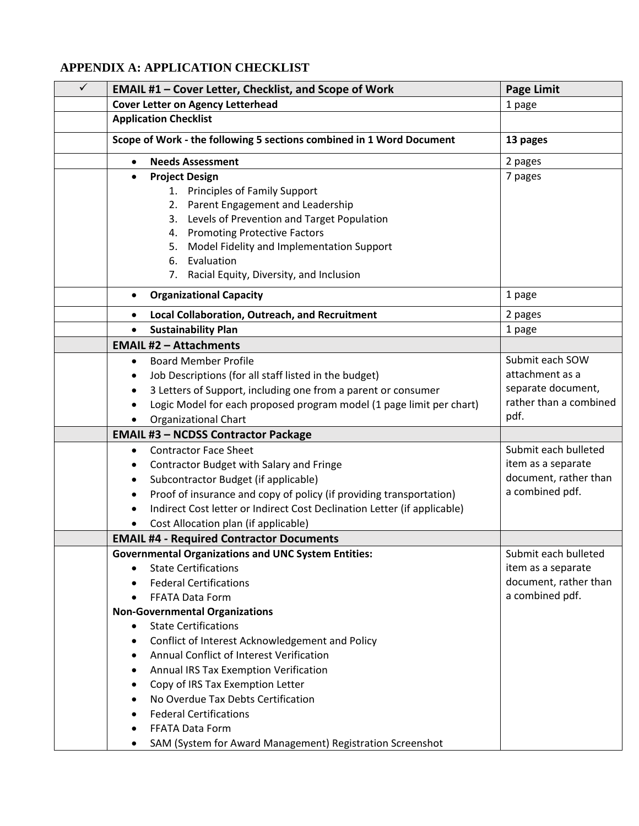# **APPENDIX A: APPLICATION CHECKLIST**

| $\checkmark$ | <b>EMAIL #1 - Cover Letter, Checklist, and Scope of Work</b>                  | <b>Page Limit</b>      |
|--------------|-------------------------------------------------------------------------------|------------------------|
|              | <b>Cover Letter on Agency Letterhead</b>                                      | 1 page                 |
|              | <b>Application Checklist</b>                                                  |                        |
|              | Scope of Work - the following 5 sections combined in 1 Word Document          | 13 pages               |
|              | <b>Needs Assessment</b><br>$\bullet$                                          | 2 pages                |
|              | <b>Project Design</b><br>$\bullet$                                            | 7 pages                |
|              | 1. Principles of Family Support                                               |                        |
|              | 2. Parent Engagement and Leadership                                           |                        |
|              | 3. Levels of Prevention and Target Population                                 |                        |
|              | <b>Promoting Protective Factors</b><br>4.                                     |                        |
|              | Model Fidelity and Implementation Support<br>5.                               |                        |
|              | 6. Evaluation                                                                 |                        |
|              | Racial Equity, Diversity, and Inclusion<br>7.                                 |                        |
|              | <b>Organizational Capacity</b><br>٠                                           | 1 page                 |
|              | Local Collaboration, Outreach, and Recruitment<br>$\bullet$                   | 2 pages                |
|              | <b>Sustainability Plan</b><br>$\bullet$                                       | 1 page                 |
|              | <b>EMAIL #2 - Attachments</b>                                                 |                        |
|              | <b>Board Member Profile</b><br>$\bullet$                                      | Submit each SOW        |
|              | Job Descriptions (for all staff listed in the budget)                         | attachment as a        |
|              | 3 Letters of Support, including one from a parent or consumer                 | separate document,     |
|              | Logic Model for each proposed program model (1 page limit per chart)          | rather than a combined |
|              | Organizational Chart                                                          | pdf.                   |
|              | <b>EMAIL #3 - NCDSS Contractor Package</b>                                    |                        |
|              | <b>Contractor Face Sheet</b><br>٠                                             | Submit each bulleted   |
|              | Contractor Budget with Salary and Fringe                                      | item as a separate     |
|              | Subcontractor Budget (if applicable)<br>٠                                     | document, rather than  |
|              | Proof of insurance and copy of policy (if providing transportation)<br>٠      | a combined pdf.        |
|              | Indirect Cost letter or Indirect Cost Declination Letter (if applicable)<br>٠ |                        |
|              | Cost Allocation plan (if applicable)                                          |                        |
|              | <b>EMAIL #4 - Required Contractor Documents</b>                               |                        |
|              | <b>Governmental Organizations and UNC System Entities:</b>                    | Submit each bulleted   |
|              | <b>State Certifications</b>                                                   | item as a separate     |
|              | <b>Federal Certifications</b>                                                 | document, rather than  |
|              | FFATA Data Form                                                               | a combined pdf.        |
|              | <b>Non-Governmental Organizations</b>                                         |                        |
|              | <b>State Certifications</b><br>$\bullet$                                      |                        |
|              | Conflict of Interest Acknowledgement and Policy<br>٠                          |                        |
|              | Annual Conflict of Interest Verification                                      |                        |
|              | Annual IRS Tax Exemption Verification                                         |                        |
|              | Copy of IRS Tax Exemption Letter<br>٠                                         |                        |
|              | No Overdue Tax Debts Certification                                            |                        |
|              | <b>Federal Certifications</b>                                                 |                        |
|              | FFATA Data Form                                                               |                        |
|              | SAM (System for Award Management) Registration Screenshot                     |                        |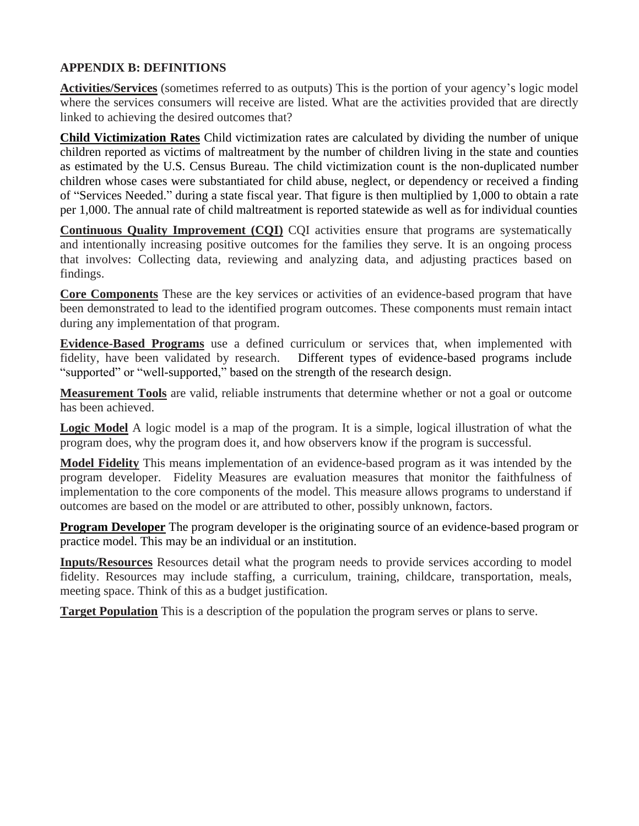### **APPENDIX B: DEFINITIONS**

**Activities/Services** (sometimes referred to as outputs) This is the portion of your agency's logic model where the services consumers will receive are listed. What are the activities provided that are directly linked to achieving the desired outcomes that?

**Child Victimization Rates** Child victimization rates are calculated by dividing the number of unique children reported as victims of maltreatment by the number of children living in the state and counties as estimated by the U.S. Census Bureau. The child victimization count is the non-duplicated number children whose cases were substantiated for child abuse, neglect, or dependency or received a finding of "Services Needed." during a state fiscal year. That figure is then multiplied by 1,000 to obtain a rate per 1,000. The annual rate of child maltreatment is reported statewide as well as for individual counties

**Continuous Quality Improvement (CQI)** CQI activities ensure that programs are systematically and intentionally increasing positive outcomes for the families they serve. It is an ongoing process that involves: Collecting data, reviewing and analyzing data, and adjusting practices based on findings.

**Core Components** These are the key services or activities of an evidence-based program that have been demonstrated to lead to the identified program outcomes. These components must remain intact during any implementation of that program.

**Evidence-Based Programs** use a defined curriculum or services that, when implemented with fidelity, have been validated by research. Different types of evidence-based programs include "supported" or "well-supported," based on the strength of the research design.

**Measurement Tools** are valid, reliable instruments that determine whether or not a goal or outcome has been achieved.

**Logic Model** A logic model is a map of the program. It is a simple, logical illustration of what the program does, why the program does it, and how observers know if the program is successful.

**Model Fidelity** This means implementation of an evidence-based program as it was intended by the program developer. Fidelity Measures are evaluation measures that monitor the faithfulness of implementation to the core components of the model. This measure allows programs to understand if outcomes are based on the model or are attributed to other, possibly unknown, factors.

**Program Developer** The program developer is the originating source of an evidence-based program or practice model. This may be an individual or an institution.

**Inputs/Resources** Resources detail what the program needs to provide services according to model fidelity. Resources may include staffing, a curriculum, training, childcare, transportation, meals, meeting space. Think of this as a budget justification.

**Target Population** This is a description of the population the program serves or plans to serve.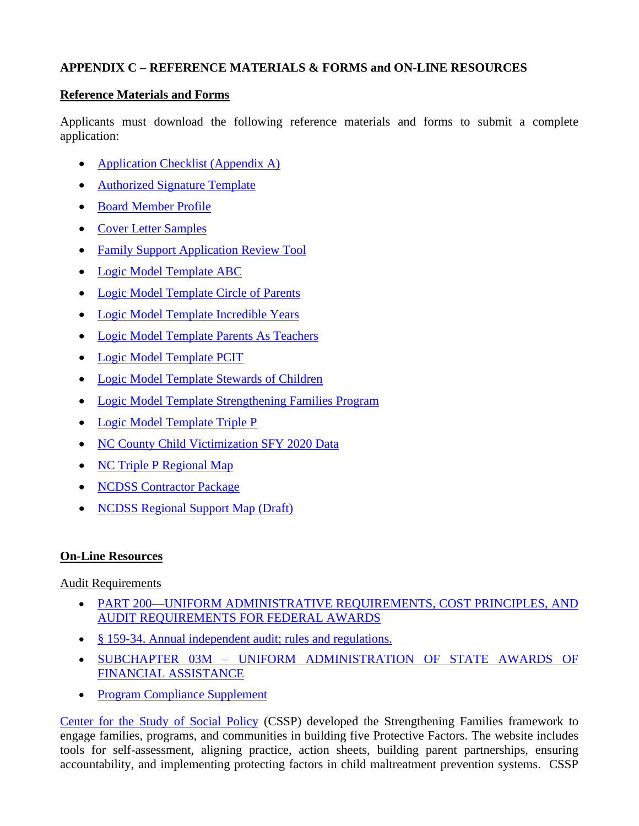## **APPENDIX C – REFERENCE MATERIALS & FORMS and ON-LINE RESOURCES**

## **Reference Materials and Forms**

Applicants must download the following reference materials and forms to submit a complete application:

- [Application Checklist \(Appendix A\)](https://files.nc.gov/ncdhhs/documents/files/dss/publicnotices/2022-2024-family-support/Application-Checklist--Appendix-A-.docx)
- [Authorized Signature Template](https://files.nc.gov/ncdhhs/documents/files/dss/publicnotices/2022-2024-family-support/Authorized-Signature-Template.doc)
- [Board Member Profile](https://files.nc.gov/ncdhhs/documents/files/dss/publicnotices/2022-2024-family-support/Board-Member-Profile.doc)
- [Cover Letter Samples](https://files.nc.gov/ncdhhs/documents/files/dss/publicnotices/2022-2024-family-support/Cover-Letter-Samples.docx)
- [Family Support Application Review Tool](https://files.nc.gov/ncdhhs/documents/files/dss/publicnotices/2022-2024-family-support/Family-Support-Application-Review-Tool.xlsx)
- [Logic Model Template](https://files.nc.gov/ncdhhs/documents/files/dss/publicnotices/2022-2024-family-support/Logic-Model-Template-ABC.docx) ABC
- [Logic Model Template Circle of](https://files.nc.gov/ncdhhs/documents/files/dss/publicnotices/2022-2024-family-support/Logic-Model-Template-Circle-of-Parents.docx) Parents
- [Logic Model Template Incredible Years](https://files.nc.gov/ncdhhs/documents/files/dss/publicnotices/2022-2024-family-support/Logic-Model-Template-Incredible-Years.docx)
- [Logic Model Template Parents As Teachers](https://files.nc.gov/ncdhhs/documents/files/dss/publicnotices/2022-2024-family-support/Logic-Model-Template-Parents-As-Teachers.docx)
- [Logic Model Template](https://files.nc.gov/ncdhhs/documents/files/dss/publicnotices/2022-2024-family-support/Logic-Model-Template-PCIT.docx) PCIT
- [Logic Model Template Stewards of Children](https://files.nc.gov/ncdhhs/documents/files/dss/publicnotices/2022-2024-family-support/Logic-Model-Template-Stewards-of-Children.docx)
- [Logic Model Template Strengthening Families Program](https://files.nc.gov/ncdhhs/documents/files/dss/publicnotices/2022-2024-family-support/Logic-Model-Template-Strengthening-Families-Program.docx)
- [Logic Model Template Triple P](https://files.nc.gov/ncdhhs/documents/files/dss/publicnotices/2022-2024-family-support/Logic-Model-Template-Triple-P.docx)
- [NC County Child Victimization SFY 2020 Data](https://files.nc.gov/ncdhhs/documents/files/dss/publicnotices/2022-2024-family-support/NC-County-Child-Victimization-2020-Data.xlsx)
- [NC Triple P Regional Map](https://files.nc.gov/ncdhhs/documents/files/dss/publicnotices/2022-2024-family-support/NC-Triple-P-Regional-Map.pdf)
- **NCDSS [Contractor Package](https://files.nc.gov/ncdhhs/documents/files/dss/publicnotices/2022-2024-family-support/NCDSS-Contractor-Package.xls)**
- [NCDSS Regional Support Map](https://files.nc.gov/ncdhhs/documents/files/dss/publicnotices/2022-2024-family-support/NCDSS-Regional-Support-Map--Draft-.xlsx) (Draft)

# **On-Line Resources**

Audit Requirements

- PART [200—UNIFORM ADMINISTRATIVE REQUIREMENTS, COST PRINCIPLES, AND](https://www.ecfr.gov/cgi-bin/text-idx?tpl=/ecfrbrowse/Title02/2cfr200_main_02.tpl)  AUDIT [REQUIREMENTS FOR FEDERAL AWARDS](https://www.ecfr.gov/cgi-bin/text-idx?tpl=/ecfrbrowse/Title02/2cfr200_main_02.tpl)
- [§ 159-34. Annual independent audit; rules and](https://www.ncleg.net/EnactedLegislation/Statutes/PDF/BySection/Chapter_159/GS_159-34.pdf) regulations.
- SUBCHAPTER 03M [UNIFORM ADMINISTRATION](http://ncrules.state.nc.us/ncac/title%2009%20-%20governor%20and%20lt.%20governor/chapter%2003%20-%20state%20budget%20and%20management/subchapter%203m/subchapter%203m%20rules.html) OF STATE AWARDS OF [FINANCIAL ASSISTANCE](http://ncrules.state.nc.us/ncac/title%2009%20-%20governor%20and%20lt.%20governor/chapter%2003%20-%20state%20budget%20and%20management/subchapter%203m/subchapter%203m%20rules.html)
- [Program Compliance Supplement](file:///C:/Users/dkday/Documents/FS%20RFA/o%09https:/files.nc.gov/nctreasurer/documents/files/SLGFD/LGC/LocalGovFiscalMngmt/AnnualAud/2019ComplianceSupp/SectionB/93.556.pdf)

[Center for the Study of Social Policy](https://cssp.org/our-work/project/strengthening-families/) (CSSP) developed the Strengthening Families framework to engage families, programs, and communities in building five Protective Factors. The website includes tools for self-assessment, aligning practice, action sheets, building parent partnerships, ensuring accountability, and implementing protecting factors in child maltreatment prevention systems. CSSP